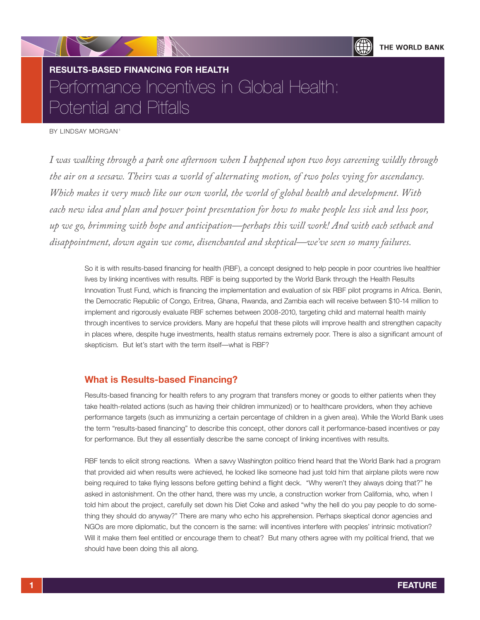

# **RESULTS-BASED FINANCING FOR HEALTH**  Performance Incentives in Global Health: Potential and Pitfalls

BY LINDSAY MORGAN<sup>1</sup>

*I was walking through a park one afternoon when I happened upon two boys careening wildly through the air on a seesaw. Theirs was a world of alternating motion, of two poles vying for ascendancy. Which makes it very much like our own world, the world of global health and development. With each new idea and plan and power point presentation for how to make people less sick and less poor, up we go, brimming with hope and anticipation—perhaps this will work! And with each setback and disappointment, down again we come, disenchanted and skeptical—we've seen so many failures.*

So it is with results-based financing for health (RBF), a concept designed to help people in poor countries live healthier lives by linking incentives with results. RBF is being supported by the World Bank through the Health Results Innovation Trust Fund, which is financing the implementation and evaluation of six RBF pilot programs in Africa. Benin, the Democratic Republic of Congo, Eritrea, Ghana, Rwanda, and Zambia each will receive between \$10-14 million to implement and rigorously evaluate RBF schemes between 2008-2010, targeting child and maternal health mainly through incentives to service providers. Many are hopeful that these pilots will improve health and strengthen capacity in places where, despite huge investments, health status remains extremely poor. There is also a significant amount of skepticism. But let's start with the term itself—what is RBF?

## **What is Results-based Financing?**

Results-based financing for health refers to any program that transfers money or goods to either patients when they take health-related actions (such as having their children immunized) or to healthcare providers, when they achieve performance targets (such as immunizing a certain percentage of children in a given area). While the World Bank uses the term "results-based financing" to describe this concept, other donors call it performance-based incentives or pay for performance. But they all essentially describe the same concept of linking incentives with results.

RBF tends to elicit strong reactions. When a savvy Washington politico friend heard that the World Bank had a program that provided aid when results were achieved, he looked like someone had just told him that airplane pilots were now being required to take flying lessons before getting behind a flight deck. "Why weren't they always doing that?" he asked in astonishment. On the other hand, there was my uncle, a construction worker from California, who, when I told him about the project, carefully set down his Diet Coke and asked "why the hell do you pay people to do something they should do anyway?" There are many who echo his apprehension. Perhaps skeptical donor agencies and NGOs are more diplomatic, but the concern is the same: will incentives interfere with peoples' intrinsic motivation? Will it make them feel entitled or encourage them to cheat? But many others agree with my political friend, that we should have been doing this all along.

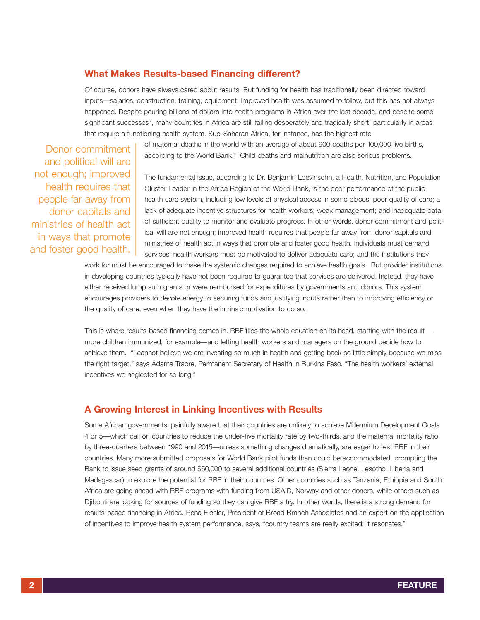## **What Makes Results-based Financing different?**

Of course, donors have always cared about results. But funding for health has traditionally been directed toward inputs—salaries, construction, training, equipment. Improved health was assumed to follow, but this has not always happened. Despite pouring billions of dollars into health programs in Africa over the last decade, and despite some significant successes<sup>2</sup>, many countries in Africa are still falling desperately and tragically short, particularly in areas that require a functioning health system. Sub-Saharan Africa, for instance, has the highest rate

Donor commitment and political will are not enough; improved health requires that people far away from donor capitals and ministries of health act in ways that promote and foster good health.

of maternal deaths in the world with an average of about 900 deaths per 100,000 live births, according to the World Bank.<sup>3</sup> Child deaths and malnutrition are also serious problems.

The fundamental issue, according to Dr. Benjamin Loevinsohn, a Health, Nutrition, and Population Cluster Leader in the Africa Region of the World Bank, is the poor performance of the public health care system, including low levels of physical access in some places; poor quality of care; a lack of adequate incentive structures for health workers; weak management; and inadequate data of sufficient quality to monitor and evaluate progress. In other words, donor commitment and political will are not enough; improved health requires that people far away from donor capitals and ministries of health act in ways that promote and foster good health. Individuals must demand services; health workers must be motivated to deliver adequate care; and the institutions they

work for must be encouraged to make the systemic changes required to achieve health goals. But provider institutions in developing countries typically have not been required to guarantee that services are delivered. Instead, they have either received lump sum grants or were reimbursed for expenditures by governments and donors. This system encourages providers to devote energy to securing funds and justifying inputs rather than to improving efficiency or the quality of care, even when they have the intrinsic motivation to do so.

This is where results-based financing comes in. RBF flips the whole equation on its head, starting with the result more children immunized, for example—and letting health workers and managers on the ground decide how to achieve them. "I cannot believe we are investing so much in health and getting back so little simply because we miss the right target," says Adama Traore, Permanent Secretary of Health in Burkina Faso. "The health workers' external incentives we neglected for so long."

### **A Growing Interest in Linking Incentives with Results**

Some African governments, painfully aware that their countries are unlikely to achieve Millennium Development Goals 4 or 5—which call on countries to reduce the under-five mortality rate by two-thirds, and the maternal mortality ratio by three-quarters between 1990 and 2015—unless something changes dramatically, are eager to test RBF in their countries. Many more submitted proposals for World Bank pilot funds than could be accommodated, prompting the Bank to issue seed grants of around \$50,000 to several additional countries (Sierra Leone, Lesotho, Liberia and Madagascar) to explore the potential for RBF in their countries. Other countries such as Tanzania, Ethiopia and South Africa are going ahead with RBF programs with funding from USAID, Norway and other donors, while others such as Djibouti are looking for sources of funding so they can give RBF a try. In other words, there is a strong demand for results-based financing in Africa. Rena Eichler, President of Broad Branch Associates and an expert on the application of incentives to improve health system performance, says, "country teams are really excited; it resonates."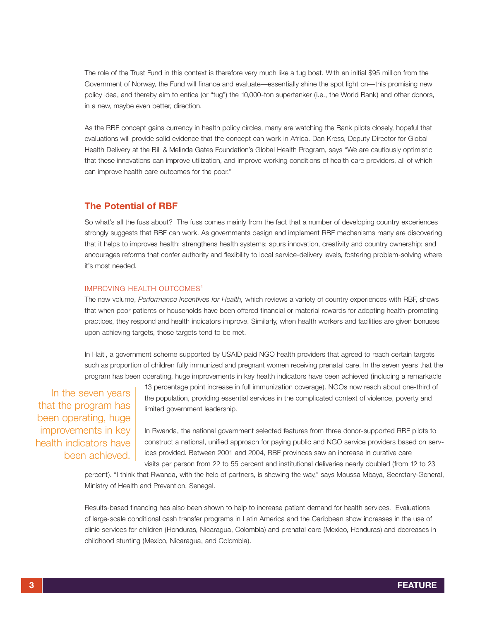The role of the Trust Fund in this context is therefore very much like a tug boat. With an initial \$95 million from the Government of Norway, the Fund will finance and evaluate—essentially shine the spot light on—this promising new policy idea, and thereby aim to entice (or "tug") the 10,000-ton supertanker (i.e., the World Bank) and other donors, in a new, maybe even better, direction.

As the RBF concept gains currency in health policy circles, many are watching the Bank pilots closely, hopeful that evaluations will provide solid evidence that the concept can work in Africa. Dan Kress, Deputy Director for Global Health Delivery at the Bill & Melinda Gates Foundation's Global Health Program, says "We are cautiously optimistic that these innovations can improve utilization, and improve working conditions of health care providers, all of which can improve health care outcomes for the poor."

## **The Potential of RBF**

So what's all the fuss about? The fuss comes mainly from the fact that a number of developing country experiences strongly suggests that RBF can work. As governments design and implement RBF mechanisms many are discovering that it helps to improves health; strengthens health systems; spurs innovation, creativity and country ownership; and encourages reforms that confer authority and flexibility to local service-delivery levels, fostering problem-solving where it's most needed.

## IMPROVING HEALTH OUTCOMES<sup>4</sup>

The new volume, *Performance Incentives for Health,* which reviews a variety of country experiences with RBF, shows that when poor patients or households have been offered financial or material rewards for adopting health-promoting practices, they respond and health indicators improve. Similarly, when health workers and facilities are given bonuses upon achieving targets, those targets tend to be met.

In Haiti, a government scheme supported by USAID paid NGO health providers that agreed to reach certain targets such as proportion of children fully immunized and pregnant women receiving prenatal care. In the seven years that the program has been operating, huge improvements in key health indicators have been achieved (including a remarkable

In the seven years that the program has been operating, huge improvements in key health indicators have been achieved. 13 percentage point increase in full immunization coverage). NGOs now reach about one-third of the population, providing essential services in the complicated context of violence, poverty and limited government leadership.

In Rwanda, the national government selected features from three donor-supported RBF pilots to construct a national, unified approach for paying public and NGO service providers based on services provided. Between 2001 and 2004, RBF provinces saw an increase in curative care visits per person from 22 to 55 percent and institutional deliveries nearly doubled (from 12 to 23

percent). "I think that Rwanda, with the help of partners, is showing the way," says Moussa Mbaya, Secretary-General, Ministry of Health and Prevention, Senegal.

Results-based financing has also been shown to help to increase patient demand for health services. Evaluations of large-scale conditional cash transfer programs in Latin America and the Caribbean show increases in the use of clinic services for children (Honduras, Nicaragua, Colombia) and prenatal care (Mexico, Honduras) and decreases in childhood stunting (Mexico, Nicaragua, and Colombia).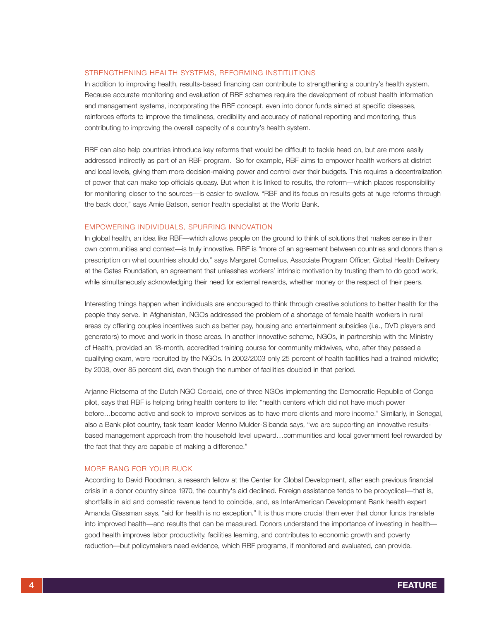#### STRENGTHENING HEALTH SYSTEMS, REFORMING INSTITUTIONS

In addition to improving health, results-based financing can contribute to strengthening a country's health system. Because accurate monitoring and evaluation of RBF schemes require the development of robust health information and management systems, incorporating the RBF concept, even into donor funds aimed at specific diseases, reinforces efforts to improve the timeliness, credibility and accuracy of national reporting and monitoring, thus contributing to improving the overall capacity of a country's health system.

RBF can also help countries introduce key reforms that would be difficult to tackle head on, but are more easily addressed indirectly as part of an RBF program. So for example, RBF aims to empower health workers at district and local levels, giving them more decision-making power and control over their budgets. This requires a decentralization of power that can make top officials queasy. But when it is linked to results, the reform—which places responsibility for monitoring closer to the sources—is easier to swallow. "RBF and its focus on results gets at huge reforms through the back door," says Amie Batson, senior health specialist at the World Bank.

#### EMPOWERING INDIVIDUALS, SPURRING INNOVATION

In global health, an idea like RBF—which allows people on the ground to think of solutions that makes sense in their own communities and context—is truly innovative. RBF is "more of an agreement between countries and donors than a prescription on what countries should do," says Margaret Cornelius, Associate Program Officer, Global Health Delivery at the Gates Foundation, an agreement that unleashes workers' intrinsic motivation by trusting them to do good work, while simultaneously acknowledging their need for external rewards, whether money or the respect of their peers.

Interesting things happen when individuals are encouraged to think through creative solutions to better health for the people they serve. In Afghanistan, NGOs addressed the problem of a shortage of female health workers in rural areas by offering couples incentives such as better pay, housing and entertainment subsidies (i.e., DVD players and generators) to move and work in those areas. In another innovative scheme, NGOs, in partnership with the Ministry of Health, provided an 18-month, accredited training course for community midwives, who, after they passed a qualifying exam, were recruited by the NGOs. In 2002/2003 only 25 percent of health facilities had a trained midwife; by 2008, over 85 percent did, even though the number of facilities doubled in that period.

Arjanne Rietsema of the Dutch NGO Cordaid, one of three NGOs implementing the Democratic Republic of Congo pilot, says that RBF is helping bring health centers to life: "health centers which did not have much power before…become active and seek to improve services as to have more clients and more income." Similarly, in Senegal, also a Bank pilot country, task team leader Menno Mulder-Sibanda says, "we are supporting an innovative resultsbased management approach from the household level upward…communities and local government feel rewarded by the fact that they are capable of making a difference."

#### MORE BANG FOR YOUR BUCK

According to David Roodman, a research fellow at the Center for Global Development, after each previous financial crisis in a donor country since 1970, the country's aid declined. Foreign assistance tends to be procyclical—that is, shortfalls in aid and domestic revenue tend to coincide, and, as InterAmerican Development Bank health expert Amanda Glassman says, "aid for health is no exception." It is thus more crucial than ever that donor funds translate into improved health—and results that can be measured. Donors understand the importance of investing in health good health improves labor productivity, facilities learning, and contributes to economic growth and poverty reduction—but policymakers need evidence, which RBF programs, if monitored and evaluated, can provide.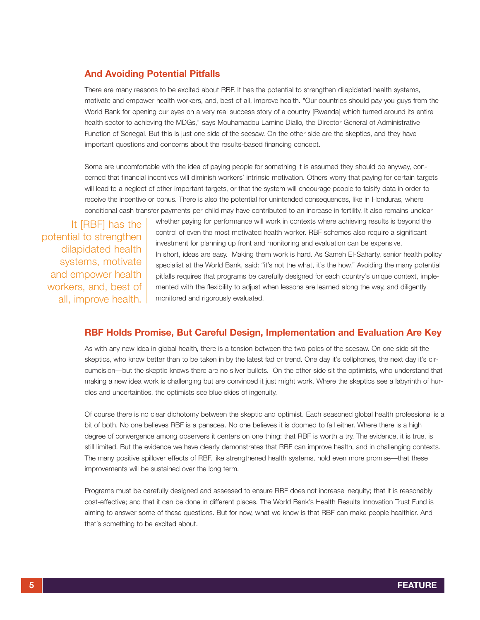## **And Avoiding Potential Pitfalls**

There are many reasons to be excited about RBF. It has the potential to strengthen dilapidated health systems, motivate and empower health workers, and, best of all, improve health. "Our countries should pay you guys from the World Bank for opening our eyes on a very real success story of a country [Rwanda] which turned around its entire health sector to achieving the MDGs," says Mouhamadou Lamine Diallo, the Director General of Administrative Function of Senegal. But this is just one side of the seesaw. On the other side are the skeptics, and they have important questions and concerns about the results-based financing concept.

Some are uncomfortable with the idea of paying people for something it is assumed they should do anyway, concerned that financial incentives will diminish workers' intrinsic motivation. Others worry that paying for certain targets will lead to a neglect of other important targets, or that the system will encourage people to falsify data in order to receive the incentive or bonus. There is also the potential for unintended consequences, like in Honduras, where conditional cash transfer payments per child may have contributed to an increase in fertility. It also remains unclear

It [RBF] has the potential to strengthen dilapidated health systems, motivate and empower health workers, and, best of all, improve health. whether paying for performance will work in contexts where achieving results is beyond the control of even the most motivated health worker. RBF schemes also require a significant investment for planning up front and monitoring and evaluation can be expensive. In short, ideas are easy. Making them work is hard. As Sameh El-Saharty, senior health policy specialist at the World Bank, said: "it's not the what, it's the how." Avoiding the many potential pitfalls requires that programs be carefully designed for each country's unique context, implemented with the flexibility to adjust when lessons are learned along the way, and diligently monitored and rigorously evaluated.

## **RBF Holds Promise, But Careful Design, Implementation and Evaluation Are Key**

As with any new idea in global health, there is a tension between the two poles of the seesaw. On one side sit the skeptics, who know better than to be taken in by the latest fad or trend. One day it's cellphones, the next day it's circumcision—but the skeptic knows there are no silver bullets. On the other side sit the optimists, who understand that making a new idea work is challenging but are convinced it just might work. Where the skeptics see a labyrinth of hurdles and uncertainties, the optimists see blue skies of ingenuity.

Of course there is no clear dichotomy between the skeptic and optimist. Each seasoned global health professional is a bit of both. No one believes RBF is a panacea. No one believes it is doomed to fail either. Where there is a high degree of convergence among observers it centers on one thing: that RBF is worth a try. The evidence, it is true, is still limited. But the evidence we have clearly demonstrates that RBF can improve health, and in challenging contexts. The many positive spillover effects of RBF, like strengthened health systems, hold even more promise—that these improvements will be sustained over the long term.

Programs must be carefully designed and assessed to ensure RBF does not increase inequity; that it is reasonably cost-effective; and that it can be done in different places. The World Bank's Health Results Innovation Trust Fund is aiming to answer some of these questions. But for now, what we know is that RBF can make people healthier. And that's something to be excited about.